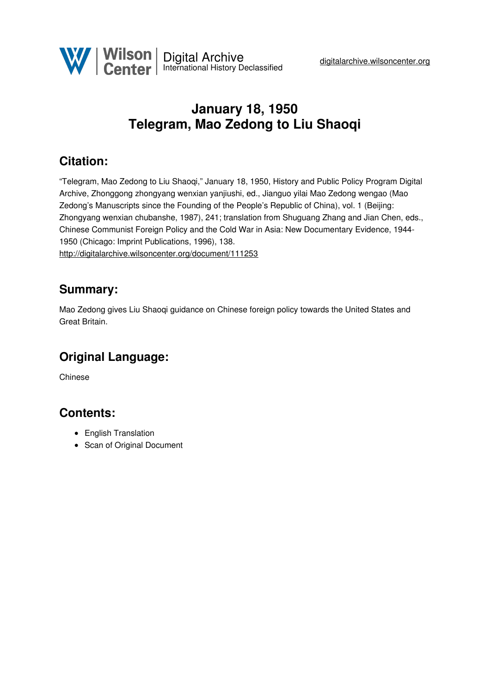

## **January 18, 1950 Telegram, Mao Zedong to Liu Shaoqi**

### **Citation:**

"Telegram, Mao Zedong to Liu Shaoqi," January 18, 1950, History and Public Policy Program Digital Archive, Zhonggong zhongyang wenxian yanjiushi, ed., Jianguo yilai Mao Zedong wengao (Mao Zedong's Manuscripts since the Founding of the People's Republic of China), vol. 1 (Beijing: Zhongyang wenxian chubanshe, 1987), 241; translation from Shuguang Zhang and Jian Chen, eds., Chinese Communist Foreign Policy and the Cold War in Asia: New Documentary Evidence, 1944- 1950 (Chicago: Imprint Publications, 1996), 138.

<http://digitalarchive.wilsoncenter.org/document/111253>

#### **Summary:**

Mao Zedong gives Liu Shaoqi guidance on Chinese foreign policy towards the United States and Great Britain.

## **Original Language:**

Chinese

#### **Contents:**

- English Translation
- Scan of Original Document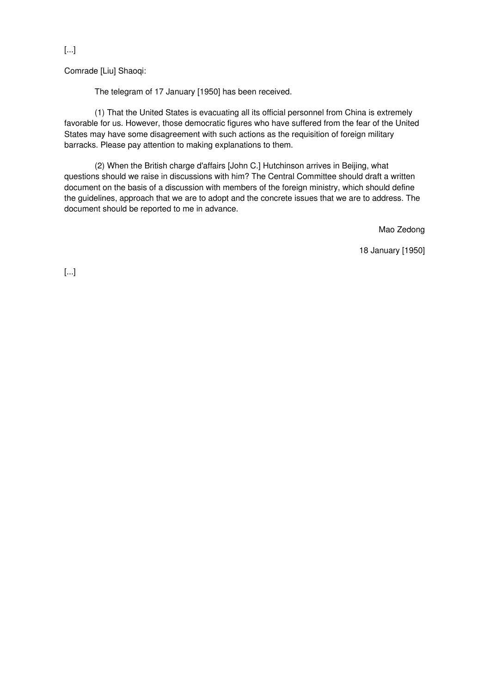[...]

Comrade [Liu] Shaoqi:

The telegram of 17 January [1950] has been received.

(1) That the United States is evacuating all its official personnel from China is extremely favorable for us. However, those democratic figures who have suffered from the fear of the United States may have some disagreement with such actions as the requisition of foreign military barracks. Please pay attention to making explanations to them.

(2) When the British charge d'affairs [John C.] Hutchinson arrives in Beijing, what questions should we raise in discussions with him? The Central Committee should draft a written document on the basis of a discussion with members of the foreign ministry, which should define the guidelines, approach that we are to adopt and the concrete issues that we are to address. The document should be reported to me in advance.

Mao Zedong

18 January [1950]

[...]